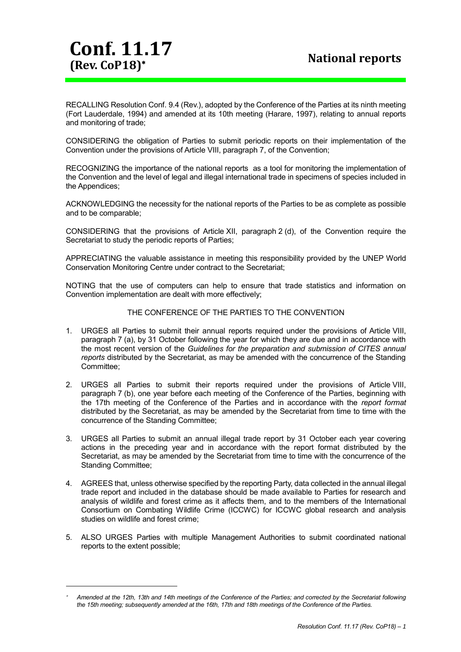**Conf. 11.17 (Rev. CoP18)**

1

RECALLING Resolution Conf. 9.4 (Rev.), adopted by the Conference of the Parties at its ninth meeting (Fort Lauderdale, 1994) and amended at its 10th meeting (Harare, 1997), relating to annual reports and monitoring of trade;

CONSIDERING the obligation of Parties to submit periodic reports on their implementation of the Convention under the provisions of Article VIII, paragraph 7, of the Convention;

RECOGNIZING the importance of the national reports as a tool for monitoring the implementation of the Convention and the level of legal and illegal international trade in specimens of species included in the Appendices;

ACKNOWLEDGING the necessity for the national reports of the Parties to be as complete as possible and to be comparable;

CONSIDERING that the provisions of Article XII, paragraph 2 (d), of the Convention require the Secretariat to study the periodic reports of Parties;

APPRECIATING the valuable assistance in meeting this responsibility provided by the UNEP World Conservation Monitoring Centre under contract to the Secretariat;

NOTING that the use of computers can help to ensure that trade statistics and information on Convention implementation are dealt with more effectively;

## THE CONFERENCE OF THE PARTIES TO THE CONVENTION

- 1. URGES all Parties to submit their annual reports required under the provisions of Article VIII, paragraph 7 (a), by 31 October following the year for which they are due and in accordance with the most recent version of the *Guidelines for the preparation and submission of CITES annual reports* distributed by the Secretariat, as may be amended with the concurrence of the Standing Committee;
- 2. URGES all Parties to submit their reports required under the provisions of Article VIII, paragraph 7 (b), one year before each meeting of the Conference of the Parties, beginning with the 17th meeting of the Conference of the Parties and in accordance with the *report format* distributed by the Secretariat, as may be amended by the Secretariat from time to time with the concurrence of the Standing Committee;
- 3. URGES all Parties to submit an annual illegal trade report by 31 October each year covering actions in the preceding year and in accordance with the report format distributed by the Secretariat, as may be amended by the Secretariat from time to time with the concurrence of the Standing Committee;
- 4. AGREES that, unless otherwise specified by the reporting Party, data collected in the annual illegal trade report and included in the database should be made available to Parties for research and analysis of wildlife and forest crime as it affects them, and to the members of the International Consortium on Combating Wildlife Crime (ICCWC) for ICCWC global research and analysis studies on wildlife and forest crime;
- 5. ALSO URGES Parties with multiple Management Authorities to submit coordinated national reports to the extent possible;

<sup>÷</sup>  *Amended at the 12th, 13th and 14th meetings of the Conference of the Parties; and corrected by the Secretariat following the 15th meeting; subsequently amended at the 16th, 17th and 18th meetings of the Conference of the Parties.*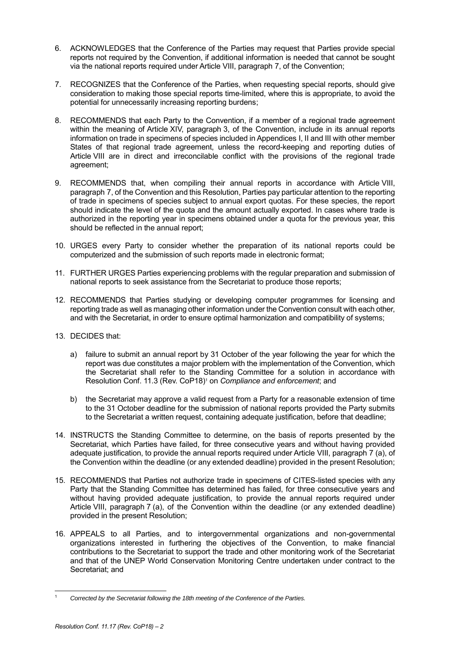- 6. ACKNOWLEDGES that the Conference of the Parties may request that Parties provide special reports not required by the Convention, if additional information is needed that cannot be sought via the national reports required under Article VIII, paragraph 7, of the Convention;
- 7. RECOGNIZES that the Conference of the Parties, when requesting special reports, should give consideration to making those special reports time-limited, where this is appropriate, to avoid the potential for unnecessarily increasing reporting burdens;
- 8. RECOMMENDS that each Party to the Convention, if a member of a regional trade agreement within the meaning of Article XIV, paragraph 3, of the Convention, include in its annual reports information on trade in specimens of species included in Appendices I, II and III with other member States of that regional trade agreement, unless the record-keeping and reporting duties of Article VIII are in direct and irreconcilable conflict with the provisions of the regional trade agreement;
- 9. RECOMMENDS that, when compiling their annual reports in accordance with Article VIII, paragraph 7, of the Convention and this Resolution, Parties pay particular attention to the reporting of trade in specimens of species subject to annual export quotas. For these species, the report should indicate the level of the quota and the amount actually exported. In cases where trade is authorized in the reporting year in specimens obtained under a quota for the previous year, this should be reflected in the annual report;
- 10. URGES every Party to consider whether the preparation of its national reports could be computerized and the submission of such reports made in electronic format;
- 11. FURTHER URGES Parties experiencing problems with the regular preparation and submission of national reports to seek assistance from the Secretariat to produce those reports;
- 12. RECOMMENDS that Parties studying or developing computer programmes for licensing and reporting trade as well as managing other information under the Convention consult with each other, and with the Secretariat, in order to ensure optimal harmonization and compatibility of systems;
- 13. DECIDES that:
	- a) failure to submit an annual report by 31 October of the year following the year for which the report was due constitutes a major problem with the implementation of the Convention, which the Secretariat shall refer to the Standing Committee for a solution in accordance with Resolution Conf. 11.3 (Rev. CoP18) <sup>1</sup> on *Compliance and enforcement*; and
	- b) the Secretariat may approve a valid request from a Party for a reasonable extension of time to the 31 October deadline for the submission of national reports provided the Party submits to the Secretariat a written request, containing adequate justification, before that deadline;
- 14. INSTRUCTS the Standing Committee to determine, on the basis of reports presented by the Secretariat, which Parties have failed, for three consecutive years and without having provided adequate justification, to provide the annual reports required under Article VIII, paragraph 7 (a), of the Convention within the deadline (or any extended deadline) provided in the present Resolution;
- 15. RECOMMENDS that Parties not authorize trade in specimens of CITES-listed species with any Party that the Standing Committee has determined has failed, for three consecutive years and without having provided adequate justification, to provide the annual reports required under Article VIII, paragraph 7 (a), of the Convention within the deadline (or any extended deadline) provided in the present Resolution;
- 16. APPEALS to all Parties, and to intergovernmental organizations and non-governmental organizations interested in furthering the objectives of the Convention, to make financial contributions to the Secretariat to support the trade and other monitoring work of the Secretariat and that of the UNEP World Conservation Monitoring Centre undertaken under contract to the Secretariat; and

l <sup>1</sup> *Corrected by the Secretariat following the 18th meeting of the Conference of the Parties.*